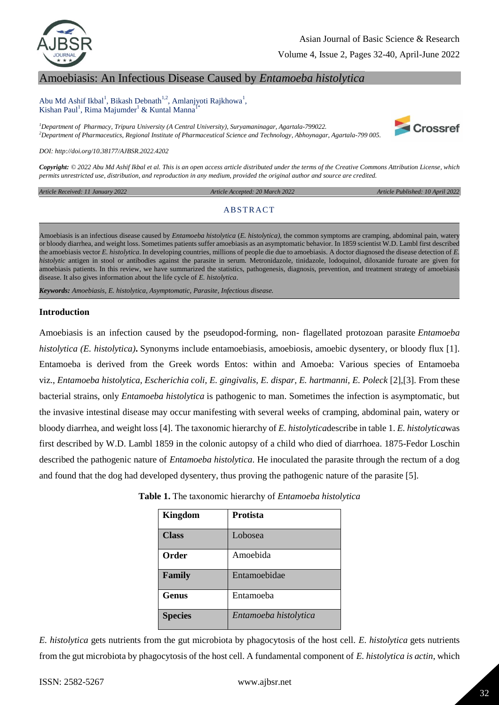

Volume 4, Issue 2, Pages 32-40, April-June 2022

# Amoebiasis: An Infectious Disease Caused by *Entamoeba histolytica*

Abu Md Ashif Ikbal<sup>1</sup>, Bikash Debnath<sup>1,2</sup>, Amlanjyoti Rajkhowa<sup>1</sup>, Kishan Paul<sup>1</sup>, Rima Majumder<sup>1</sup> & Kuntal Manna<sup>1\*</sup>

*<sup>1</sup>Department of Pharmacy, Tripura University (A Central University), Suryamaninagar, Agartala-799022. <sup>2</sup>Department of Pharmaceutics, Regional Institute of Pharmaceutical Science and Technology, Abhoynagar, Agartala-799 005.*



*DOI: http://doi.org/10.38177/AJBSR.2022.4202*

*Copyright: © 2022 Abu Md Ashif Ikbal et al. This is an open access article distributed under the terms of the Creative Commons Attribution License, which permits unrestricted use, distribution, and reproduction in any medium, provided the original author and source are credited.* 

*Article Received: 11 January 2022* 

 *Article Accepted: 20 March 2022 Article Published: 10 April 2022*

#### **ABSTRACT**

Amoebiasis is an infectious disease caused by *Entamoeba histolytica* (*E. histolytica),* the common symptoms are cramping, abdominal pain, watery or bloody diarrhea, and weight loss. Sometimes patients suffer amoebiasis as an asymptomatic behavior. In 1859 scientist W.D. Lambl first described the amoebiasis vector *E. histolytica*. In developing countries, millions of people die due to amoebiasis. A doctor diagnosed the disease detection of *E. histolytic* antigen in stool or antibodies against the parasite in serum. Metronidazole, tinidazole, lodoquinol, diloxanide furoate are given for amoebiasis patients. In this review, we have summarized the statistics, pathogenesis, diagnosis, prevention, and treatment strategy of amoebiasis disease. It also gives information about the life cycle of *E. histolytica*.

*Keywords: Amoebiasis, E. histolytica*, *Asymptomatic, Parasite, Infectious disease.*

#### **Introduction**

Amoebiasis is an infection caused by the pseudopod-forming, non- flagellated protozoan parasite *Entamoeba histolytica (E. histolytica)***.** Synonyms include entamoebiasis, amoebiosis, amoebic dysentery, or bloody flux [1]. Entamoeba is derived from the Greek words Entos: within and Amoeba: Various species of Entamoeba viz., *Entamoeba histolytica, Escherichia coli, E. gingivalis, E. dispar, E. hartmanni, E. Poleck* [2],[3]. From these bacterial strains, only *Entamoeba histolytica* is pathogenic to man. Sometimes the infection is asymptomatic, but the invasive intestinal disease may occur manifesting with several weeks of cramping, abdominal pain, watery or bloody diarrhea, and weight loss [4]. The taxonomic hierarchy of *E. histolytica*describe in table 1. *E. histolytica*was first described by W.D. Lambl 1859 in the colonic autopsy of a child who died of diarrhoea. 1875-Fedor Loschin described the pathogenic nature of *Entamoeba histolytica*. He inoculated the parasite through the rectum of a dog and found that the dog had developed dysentery, thus proving the pathogenic nature of the parasite [5].

| Kingdom        | <b>Protista</b>       |
|----------------|-----------------------|
| <b>Class</b>   | Lobosea               |
| Order          | Amoebida              |
| Family         | Entamoebidae          |
| <b>Genus</b>   | Entamoeba             |
| <b>Species</b> | Entamoeba histolytica |

**Table 1.** The taxonomic hierarchy of *Entamoeba histolytica*

*E. histolytica* gets nutrients from the gut microbiota by phagocytosis of the host cell. *E. histolytica* gets nutrients from the gut microbiota by phagocytosis of the host cell. A fundamental component of *E. histolytica is actin*, which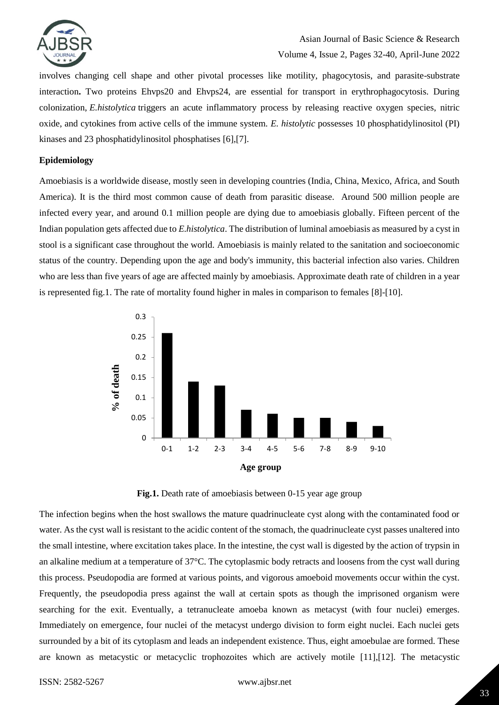

involves changing cell shape and other pivotal processes like motility, phagocytosis, and parasite-substrate interaction**.** Two proteins Ehvps20 and Ehvps24, are essential for transport in erythrophagocytosis. During colonization, *E.histolytica* triggers an acute inflammatory process by releasing reactive oxygen species, nitric oxide, and cytokines from active cells of the immune system. *E. histolytic* possesses 10 phosphatidylinositol (PI) kinases and 23 phosphatidylinositol phosphatises [6],[7].

### **Epidemiology**

Amoebiasis is a worldwide disease, mostly seen in developing countries (India, China, Mexico, Africa, and South America). It is the third most common cause of death from parasitic disease. Around 500 million people are infected every year, and around 0.1 million people are dying due to amoebiasis globally. Fifteen percent of the Indian population gets affected due to *E.histolytica*. The distribution of luminal amoebiasis as measured by a cyst in stool is a significant case throughout the world. Amoebiasis is mainly related to the sanitation and socioeconomic status of the country. Depending upon the age and body's immunity, this bacterial infection also varies. Children who are less than five years of age are affected mainly by amoebiasis. Approximate death rate of children in a year is represented fig.1. The rate of mortality found higher in males in comparison to females [8]-[10].





The infection begins when the host swallows the mature quadrinucleate cyst along with the contaminated food or water. As the cyst wall is resistant to the acidic content of the stomach, the quadrinucleate cyst passes unaltered into the small intestine, where excitation takes place. In the intestine, the cyst wall is digested by the action of trypsin in an alkaline medium at a temperature of 37°C. The cytoplasmic body retracts and loosens from the cyst wall during this process. Pseudopodia are formed at various points, and vigorous amoeboid movements occur within the cyst. Frequently, the pseudopodia press against the wall at certain spots as though the imprisoned organism were searching for the exit. Eventually, a tetranucleate amoeba known as metacyst (with four nuclei) emerges. Immediately on emergence, four nuclei of the metacyst undergo division to form eight nuclei. Each nuclei gets surrounded by a bit of its cytoplasm and leads an independent existence. Thus, eight amoebulae are formed. These are known as metacystic or metacyclic trophozoites which are actively motile [11],[12]. The metacystic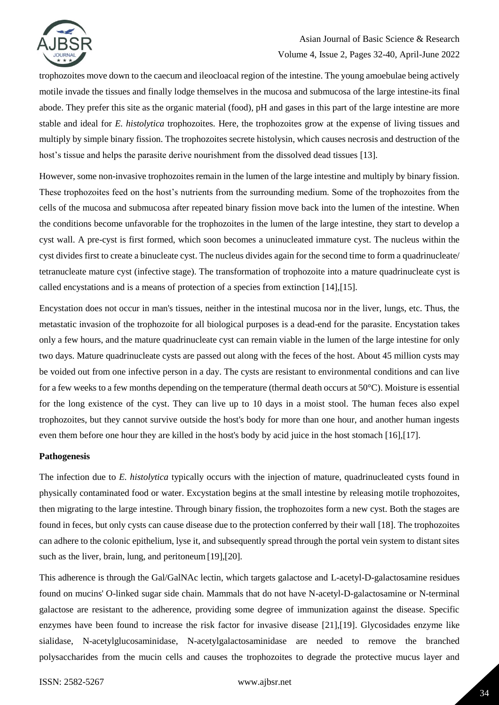

# Asian Journal of Basic Science & Research Volume 4, Issue 2, Pages 32-40, April-June 2022

trophozoites move down to the caecum and ileocloacal region of the intestine. The young amoebulae being actively motile invade the tissues and finally lodge themselves in the mucosa and submucosa of the large intestine-its final abode. They prefer this site as the organic material (food), pH and gases in this part of the large intestine are more stable and ideal for *E. histolytica* trophozoites. Here, the trophozoites grow at the expense of living tissues and multiply by simple binary fission. The trophozoites secrete histolysin, which causes necrosis and destruction of the host's tissue and helps the parasite derive nourishment from the dissolved dead tissues [13].

However, some non-invasive trophozoites remain in the lumen of the large intestine and multiply by binary fission. These trophozoites feed on the host's nutrients from the surrounding medium. Some of the trophozoites from the cells of the mucosa and submucosa after repeated binary fission move back into the lumen of the intestine. When the conditions become unfavorable for the trophozoites in the lumen of the large intestine, they start to develop a cyst wall. A pre-cyst is first formed, which soon becomes a uninucleated immature cyst. The nucleus within the cyst divides first to create a binucleate cyst. The nucleus divides again for the second time to form a quadrinucleate/ tetranucleate mature cyst (infective stage). The transformation of trophozoite into a mature quadrinucleate cyst is called encystations and is a means of protection of a species from extinction [14],[15].

Encystation does not occur in man's tissues, neither in the intestinal mucosa nor in the liver, lungs, etc. Thus, the metastatic invasion of the trophozoite for all biological purposes is a dead-end for the parasite. Encystation takes only a few hours, and the mature quadrinucleate cyst can remain viable in the lumen of the large intestine for only two days. Mature quadrinucleate cysts are passed out along with the feces of the host. About 45 million cysts may be voided out from one infective person in a day. The cysts are resistant to environmental conditions and can live for a few weeks to a few months depending on the temperature (thermal death occurs at 50°C). Moisture is essential for the long existence of the cyst. They can live up to 10 days in a moist stool. The human feces also expel trophozoites, but they cannot survive outside the host's body for more than one hour, and another human ingests even them before one hour they are killed in the host's body by acid juice in the host stomach [16],[17].

### **Pathogenesis**

The infection due to *E. histolytica* typically occurs with the injection of mature, quadrinucleated cysts found in physically contaminated food or water. Excystation begins at the small intestine by releasing motile trophozoites, then migrating to the large intestine. Through binary fission, the trophozoites form a new cyst. Both the stages are found in feces, but only cysts can cause disease due to the protection conferred by their wall [18]. The trophozoites can adhere to the colonic epithelium, lyse it, and subsequently spread through the portal vein system to distant sites such as the liver, brain, lung, and peritoneum [19],[20].

This adherence is through the Gal/GalNAc lectin, which targets galactose and L-acetyl-D-galactosamine residues found on mucins' O-linked sugar side chain. Mammals that do not have N-acetyl-D-galactosamine or N-terminal galactose are resistant to the adherence, providing some degree of immunization against the disease. Specific enzymes have been found to increase the risk factor for invasive disease [21],[19]. Glycosidades enzyme like sialidase, N-acetylglucosaminidase, N-acetylgalactosaminidase are needed to remove the branched polysaccharides from the mucin cells and causes the trophozoites to degrade the protective mucus layer and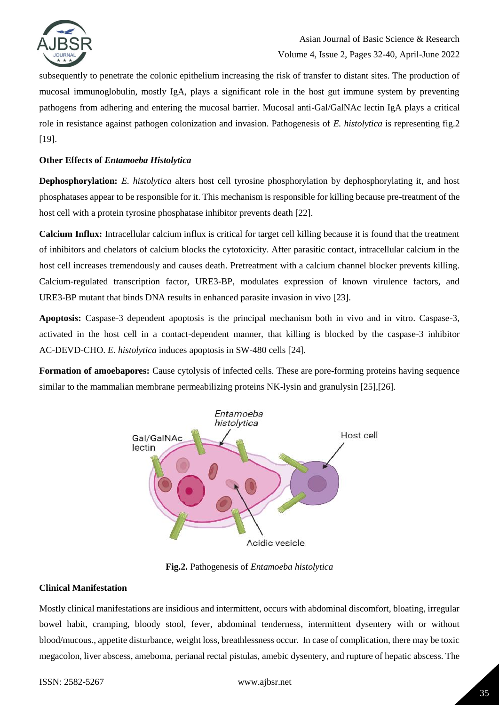

subsequently to penetrate the colonic epithelium increasing the risk of transfer to distant sites. The production of mucosal immunoglobulin, mostly IgA, plays a significant role in the host gut immune system by preventing pathogens from adhering and entering the mucosal barrier. Mucosal anti-Gal/GalNAc lectin IgA plays a critical role in resistance against pathogen colonization and invasion. Pathogenesis of *E. histolytica* is representing fig.2 [19].

### **Other Effects of** *Entamoeba Histolytica*

**Dephosphorylation:** *E. histolytica* alters host cell tyrosine phosphorylation by dephosphorylating it, and host phosphatases appear to be responsible for it. This mechanism is responsible for killing because pre-treatment of the host cell with a protein tyrosine phosphatase inhibitor prevents death [22].

**Calcium Influx:** Intracellular calcium influx is critical for target cell killing because it is found that the treatment of inhibitors and chelators of calcium blocks the cytotoxicity. After parasitic contact, intracellular calcium in the host cell increases tremendously and causes death. Pretreatment with a calcium channel blocker prevents killing. Calcium-regulated transcription factor, URE3-BP, modulates expression of known virulence factors, and URE3-BP mutant that binds DNA results in enhanced parasite invasion in vivo [23].

**Apoptosis:** Caspase-3 dependent apoptosis is the principal mechanism both in vivo and in vitro. Caspase-3, activated in the host cell in a contact-dependent manner, that killing is blocked by the caspase-3 inhibitor AC-DEVD-CHO. *E. histolytica* induces apoptosis in SW-480 cells [24].

**Formation of amoebapores:** Cause cytolysis of infected cells. These are pore-forming proteins having sequence similar to the mammalian membrane permeabilizing proteins NK-lysin and granulysin [25],[26].



**Fig.2.** Pathogenesis of *Entamoeba histolytica*

### **Clinical Manifestation**

Mostly clinical manifestations are insidious and intermittent, occurs with abdominal discomfort, bloating, irregular bowel habit, cramping, bloody stool, fever, abdominal tenderness, intermittent dysentery with or without blood/mucous., appetite disturbance, weight loss, breathlessness occur. In case of complication, there may be toxic megacolon, liver abscess, ameboma, perianal rectal pistulas, amebic dysentery, and rupture of hepatic abscess. The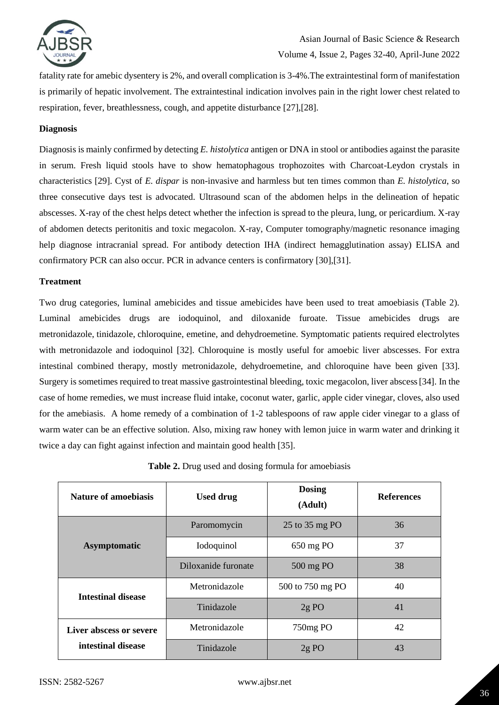

fatality rate for amebic dysentery is 2%, and overall complication is 3-4%.The extraintestinal form of manifestation is primarily of hepatic involvement. The extraintestinal indication involves pain in the right lower chest related to respiration, fever, breathlessness, cough, and appetite disturbance [27],[28].

### **Diagnosis**

Diagnosis is mainly confirmed by detecting *E. histolytica* antigen or DNA in stool or antibodies against the parasite in serum. Fresh liquid stools have to show hematophagous trophozoites with Charcoat-Leydon crystals in characteristics [29]. Cyst of *E. dispar* is non-invasive and harmless but ten times common than *E. histolytica*, so three consecutive days test is advocated. Ultrasound scan of the abdomen helps in the delineation of hepatic abscesses. X-ray of the chest helps detect whether the infection is spread to the pleura, lung, or pericardium. X-ray of abdomen detects peritonitis and toxic megacolon. X-ray, Computer tomography/magnetic resonance imaging help diagnose intracranial spread. For antibody detection IHA (indirect hemagglutination assay) ELISA and confirmatory PCR can also occur. PCR in advance centers is confirmatory [30],[31].

### **Treatment**

Two drug categories, luminal amebicides and tissue amebicides have been used to treat amoebiasis (Table 2). Luminal amebicides drugs are iodoquinol, and diloxanide furoate. Tissue amebicides drugs are metronidazole, tinidazole, chloroquine, emetine, and dehydroemetine. Symptomatic patients required electrolytes with metronidazole and iodoquinol [32]. Chloroquine is mostly useful for amoebic liver abscesses. For extra intestinal combined therapy, mostly metronidazole, dehydroemetine, and chloroquine have been given [33]. Surgery is sometimes required to treat massive gastrointestinal bleeding, toxic megacolon, liver abscess[34]. In the case of home remedies, we must increase fluid intake, coconut water, garlic, apple cider vinegar, cloves, also used for the amebiasis. A home remedy of a combination of 1-2 tablespoons of raw apple cider vinegar to a glass of warm water can be an effective solution. Also, mixing raw honey with lemon juice in warm water and drinking it twice a day can fight against infection and maintain good health [35].

| Nature of amoebiasis    | <b>Used drug</b>    | <b>Dosing</b><br>(Adult) | <b>References</b> |
|-------------------------|---------------------|--------------------------|-------------------|
| <b>Asymptomatic</b>     | Paromomycin         | 25 to 35 mg PO           | 36                |
|                         | Iodoquinol          | 650 mg PO                | 37                |
|                         | Diloxanide furonate | 500 mg PO                | 38                |
| Intestinal disease      | Metronidazole       | 500 to 750 mg PO         | 40                |
|                         | Tinidazole          | $2g$ PO                  | 41                |
| Liver abscess or severe | Metronidazole       | 750mg PO                 | 42                |
| intestinal disease      | Tinidazole          | 2gPO                     | 43                |

**Table 2.** Drug used and dosing formula for amoebiasis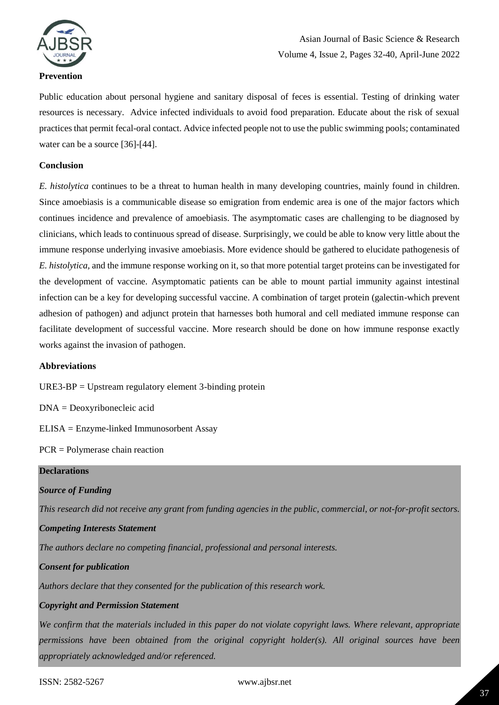

# Asian Journal of Basic Science & Research Volume 4, Issue 2, Pages 32-40, April-June 2022

Public education about personal hygiene and sanitary disposal of feces is essential. Testing of drinking water resources is necessary. Advice infected individuals to avoid food preparation. Educate about the risk of sexual practices that permit fecal-oral contact. Advice infected people not to use the public swimming pools; contaminated water can be a source [36]-[44].

### **Conclusion**

*E. histolytica* continues to be a threat to human health in many developing countries, mainly found in children. Since amoebiasis is a communicable disease so emigration from endemic area is one of the major factors which continues incidence and prevalence of amoebiasis. The asymptomatic cases are challenging to be diagnosed by clinicians, which leads to continuous spread of disease. Surprisingly, we could be able to know very little about the immune response underlying invasive amoebiasis. More evidence should be gathered to elucidate pathogenesis of *E. histolytica,* and the immune response working on it, so that more potential target proteins can be investigated for the development of vaccine. Asymptomatic patients can be able to mount partial immunity against intestinal infection can be a key for developing successful vaccine. A combination of target protein (galectin-which prevent adhesion of pathogen) and adjunct protein that harnesses both humoral and cell mediated immune response can facilitate development of successful vaccine. More research should be done on how immune response exactly works against the invasion of pathogen.

### **Abbreviations**

URE3-BP = Upstream regulatory element 3-binding protein

DNA = Deoxyribonecleic acid

ELISA = Enzyme-linked Immunosorbent Assay

PCR = Polymerase chain reaction

### **Declarations**

# *Source of Funding*

*This research did not receive any grant from funding agencies in the public, commercial, or not-for-profit sectors.*

### *Competing Interests Statement*

*The authors declare no competing financial, professional and personal interests.*

# *Consent for publication*

*Authors declare that they consented for the publication of this research work.* 

# *Copyright and Permission Statement*

*We confirm that the materials included in this paper do not violate copyright laws. Where relevant, appropriate permissions have been obtained from the original copyright holder(s). All original sources have been appropriately acknowledged and/or referenced.*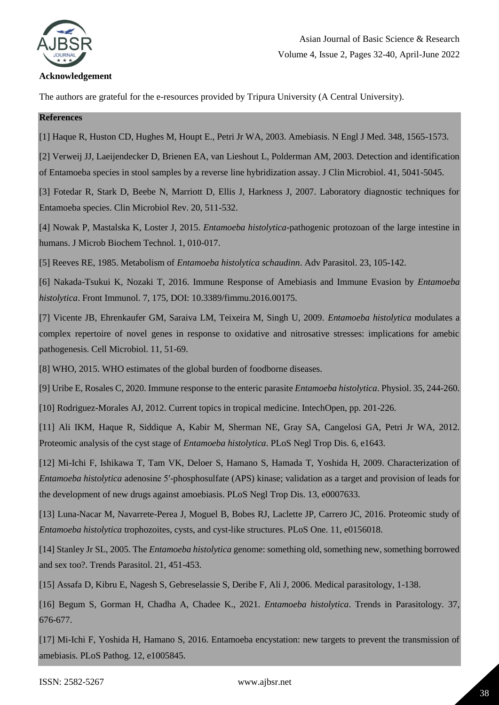

### **Acknowledgement**

The authors are grateful for the e-resources provided by Tripura University (A Central University).

### **References**

[1] Haque R, Huston CD, Hughes M, Houpt E., Petri Jr WA, 2003. Amebiasis. N Engl J Med. 348, 1565-1573.

[2] Verweij JJ, Laeijendecker D, Brienen EA, van Lieshout L, Polderman AM, 2003. Detection and identification of Entamoeba species in stool samples by a reverse line hybridization assay. J Clin Microbiol. 41, 5041-5045.

[3] Fotedar R, Stark D, Beebe N, Marriott D, Ellis J, Harkness J, 2007. Laboratory diagnostic techniques for Entamoeba species. Clin Microbiol Rev. 20, 511-532.

[4] Nowak P, Mastalska K, Loster J, 2015. *Entamoeba histolytica*-pathogenic protozoan of the large intestine in humans. J Microb Biochem Technol. 1, 010-017.

[5] Reeves RE, 1985. Metabolism of *Entamoeba histolytica schaudinn*. Adv Parasitol. 23, 105-142.

[6] Nakada-Tsukui K, Nozaki T, 2016. Immune Response of Amebiasis and Immune Evasion by *Entamoeba histolytica*. Front Immunol. 7, 175, DOI: 10.3389/fimmu.2016.00175.

[7] Vicente JB, Ehrenkaufer GM, Saraiva LM, Teixeira M, Singh U, 2009. *Entamoeba histolytica* modulates a complex repertoire of novel genes in response to oxidative and nitrosative stresses: implications for amebic pathogenesis. Cell Microbiol. 11, 51-69.

[8] WHO, 2015. WHO estimates of the global burden of foodborne diseases.

[9] Uribe E, Rosales C, 2020. Immune response to the enteric parasite *Entamoeba histolytica*. Physiol. 35, 244-260.

[10] Rodriguez-Morales AJ, 2012. Current topics in tropical medicine. IntechOpen, pp. 201-226.

[11] Ali IKM, Haque R, Siddique A, Kabir M, Sherman NE, Gray SA, Cangelosi GA, Petri Jr WA, 2012. Proteomic analysis of the cyst stage of *Entamoeba histolytica*. PLoS Negl Trop Dis. 6, e1643.

[12] Mi-Ichi F, Ishikawa T, Tam VK, Deloer S, Hamano S, Hamada T, Yoshida H, 2009. Characterization of *Entamoeba histolytica* adenosine 5′-phosphosulfate (APS) kinase; validation as a target and provision of leads for the development of new drugs against amoebiasis. PLoS Negl Trop Dis. 13, e0007633.

[13] Luna-Nacar M, Navarrete-Perea J, Moguel B, Bobes RJ, Laclette JP, Carrero JC, 2016. Proteomic study of *Entamoeba histolytica* trophozoites, cysts, and cyst-like structures. PLoS One. 11, e0156018.

[14] Stanley Jr SL, 2005. The *Entamoeba histolytica* genome: something old, something new, something borrowed and sex too?. Trends Parasitol. 21, 451-453.

[15] Assafa D, Kibru E, Nagesh S, Gebreselassie S, Deribe F, Ali J, 2006. Medical parasitology, 1-138.

[16] Begum S, Gorman H, Chadha A, Chadee K., 2021. *Entamoeba histolytica*. Trends in Parasitology. 37, 676-677.

[17] Mi-Ichi F, Yoshida H, Hamano S, 2016. Entamoeba encystation: new targets to prevent the transmission of amebiasis. PLoS Pathog. 12, e1005845.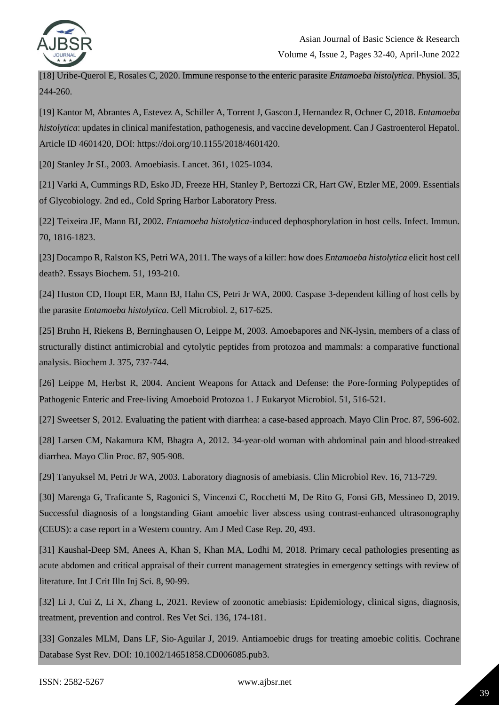

[18] Uribe-Querol E, Rosales C, 2020. Immune response to the enteric parasite *Entamoeba histolytica*. Physiol. 35, 244-260.

[19] Kantor M, Abrantes A, Estevez A, Schiller A, Torrent J, Gascon J, Hernandez R, Ochner C, 2018. *Entamoeba histolytica*: updates in clinical manifestation, pathogenesis, and vaccine development. Can J Gastroenterol Hepatol. Article ID 4601420, DOI: https://doi.org/10.1155/2018/4601420.

[20] Stanley Jr SL, 2003. Amoebiasis. Lancet. 361, 1025-1034.

[21] Varki A, Cummings RD, Esko JD, Freeze HH, Stanley P, Bertozzi CR, Hart GW, Etzler ME, 2009. Essentials of Glycobiology. 2nd ed., Cold Spring Harbor Laboratory Press.

[22] Teixeira JE, Mann BJ, 2002. *Entamoeba histolytica*-induced dephosphorylation in host cells. Infect. Immun. 70, 1816-1823.

[23] Docampo R, Ralston KS, Petri WA, 2011. The ways of a killer: how does *Entamoeba histolytica* elicit host cell death?. Essays Biochem. 51, 193-210.

[24] Huston CD, Houpt ER, Mann BJ, Hahn CS, Petri Jr WA, 2000. Caspase 3-dependent killing of host cells by the parasite *Entamoeba histolytica*. Cell Microbiol. 2, 617-625.

[25] Bruhn H, Riekens B, Berninghausen O, Leippe M, 2003. Amoebapores and NK-lysin, members of a class of structurally distinct antimicrobial and cytolytic peptides from protozoa and mammals: a comparative functional analysis. Biochem J. 375, 737-744.

[26] Leippe M, Herbst R, 2004. Ancient Weapons for Attack and Defense: the Pore‐forming Polypeptides of Pathogenic Enteric and Free‐living Amoeboid Protozoa 1. J Eukaryot Microbiol. 51, 516-521.

[27] Sweetser S, 2012. Evaluating the patient with diarrhea: a case-based approach. Mayo Clin Proc. 87, 596-602.

[28] Larsen CM, Nakamura KM, Bhagra A, 2012. 34-year-old woman with abdominal pain and blood-streaked diarrhea. Mayo Clin Proc. 87, 905-908.

[29] Tanyuksel M, Petri Jr WA, 2003. Laboratory diagnosis of amebiasis. Clin Microbiol Rev. 16, 713-729.

[30] Marenga G, Traficante S, Ragonici S, Vincenzi C, Rocchetti M, De Rito G, Fonsi GB, Messineo D, 2019. Successful diagnosis of a longstanding Giant amoebic liver abscess using contrast-enhanced ultrasonography (CEUS): a case report in a Western country. Am J Med Case Rep. 20, 493.

[31] Kaushal-Deep SM, Anees A, Khan S, Khan MA, Lodhi M, 2018. Primary cecal pathologies presenting as acute abdomen and critical appraisal of their current management strategies in emergency settings with review of literature. Int J Crit Illn Inj Sci. 8, 90-99.

[32] Li J, Cui Z, Li X, Zhang L, 2021. Review of zoonotic amebiasis: Epidemiology, clinical signs, diagnosis, treatment, prevention and control. Res Vet Sci. 136, 174-181.

[33] Gonzales MLM, Dans LF, Sio-Aguilar J, 2019. Antiamoebic drugs for treating amoebic colitis. Cochrane Database Syst Rev. DOI: 10.1002/14651858.CD006085.pub3.